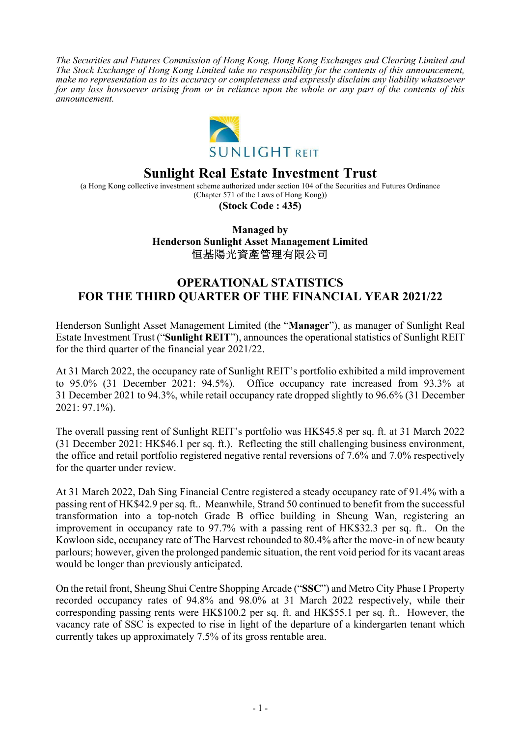*The Securities and Futures Commission of Hong Kong, Hong Kong Exchanges and Clearing Limited and The Stock Exchange of Hong Kong Limited take no responsibility for the contents of this announcement, make no representation as to its accuracy or completeness and expressly disclaim any liability whatsoever for any loss howsoever arising from or in reliance upon the whole or any part of the contents of this announcement.* 



# **Sunlight Real Estate Investment Trust**

(a Hong Kong collective investment scheme authorized under section 104 of the Securities and Futures Ordinance (Chapter 571 of the Laws of Hong Kong))

**(Stock Code : 435)** 

### **Managed by Henderson Sunlight Asset Management Limited**  恒基陽光資產管理有限公司

## **OPERATIONAL STATISTICS FOR THE THIRD QUARTER OF THE FINANCIAL YEAR 2021/22**

Henderson Sunlight Asset Management Limited (the "**Manager**"), as manager of Sunlight Real Estate Investment Trust ("**Sunlight REIT**"), announces the operational statistics of Sunlight REIT for the third quarter of the financial year 2021/22.

At 31 March 2022, the occupancy rate of Sunlight REIT's portfolio exhibited a mild improvement to 95.0% (31 December 2021: 94.5%). Office occupancy rate increased from 93.3% at 31 December 2021 to 94.3%, while retail occupancy rate dropped slightly to 96.6% (31 December 2021: 97.1%).

The overall passing rent of Sunlight REIT's portfolio was HK\$45.8 per sq. ft. at 31 March 2022 (31 December 2021: HK\$46.1 per sq. ft.). Reflecting the still challenging business environment, the office and retail portfolio registered negative rental reversions of 7.6% and 7.0% respectively for the quarter under review.

At 31 March 2022, Dah Sing Financial Centre registered a steady occupancy rate of 91.4% with a passing rent of HK\$42.9 per sq. ft.. Meanwhile, Strand 50 continued to benefit from the successful transformation into a top-notch Grade B office building in Sheung Wan, registering an improvement in occupancy rate to 97.7% with a passing rent of HK\$32.3 per sq. ft.. On the Kowloon side, occupancy rate of The Harvest rebounded to 80.4% after the move-in of new beauty parlours; however, given the prolonged pandemic situation, the rent void period for its vacant areas would be longer than previously anticipated.

On the retail front, Sheung Shui Centre Shopping Arcade ("**SSC**") and Metro City Phase I Property recorded occupancy rates of 94.8% and 98.0% at 31 March 2022 respectively, while their corresponding passing rents were HK\$100.2 per sq. ft. and HK\$55.1 per sq. ft.. However, the vacancy rate of SSC is expected to rise in light of the departure of a kindergarten tenant which currently takes up approximately 7.5% of its gross rentable area.